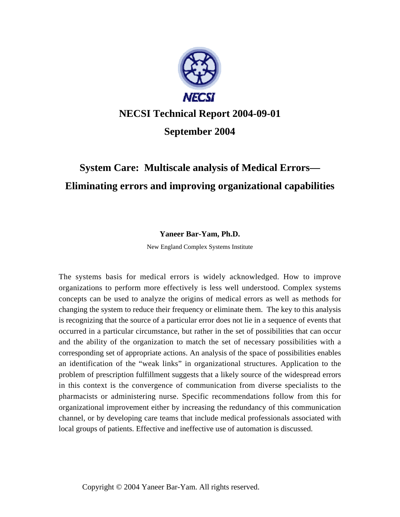

## **NECSI Technical Report 2004-09-01**

**September 2004**

# **System Care: Multiscale analysis of Medical Errors— Eliminating errors and improving organizational capabilities**

### **Yaneer Bar-Yam, Ph.D.**

New England Complex Systems Institute

The systems basis for medical errors is widely acknowledged. How to improve organizations to perform more effectively is less well understood. Complex systems concepts can be used to analyze the origins of medical errors as well as methods for changing the system to reduce their frequency or eliminate them. The key to this analysis is recognizing that the source of a particular error does not lie in a sequence of events that occurred in a particular circumstance, but rather in the set of possibilities that can occur and the ability of the organization to match the set of necessary possibilities with a corresponding set of appropriate actions. An analysis of the space of possibilities enables an identification of the "weak links" in organizational structures. Application to the problem of prescription fulfillment suggests that a likely source of the widespread errors in this context is the convergence of communication from diverse specialists to the pharmacists or administering nurse. Specific recommendations follow from this for organizational improvement either by increasing the redundancy of this communication channel, or by developing care teams that include medical professionals associated with local groups of patients. Effective and ineffective use of automation is discussed.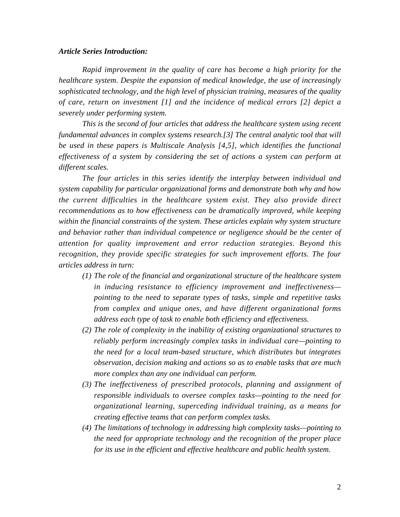#### *Article Series Introduction:*

*Rapid improvement in the quality of care has become a high priority for the healthcare system. Despite the expansion of medical knowledge, the use of increasingly sophisticated technology, and the high level of physician training, measures of the quality of care, return on investment [1] and the incidence of medical errors [2] depict a severely under performing system.*

*This is the second of four articles that address the healthcare system using recent fundamental advances in complex systems research.[3] The central analytic tool that will be used in these papers is Multiscale Analysis [4,5], which identifies the functional effectiveness of a system by considering the set of actions a system can perform at different scales.*

*The four articles in this series identify the interplay between individual and system capability for particular organizational forms and demonstrate both why and how the current difficulties in the healthcare system exist. They also provide direct recommendations as to how effectiveness can be dramatically improved, while keeping within the financial constraints of the system. These articles explain why system structure and behavior rather than individual competence or negligence should be the center of attention for quality improvement and error reduction strategies. Beyond this recognition, they provide specific strategies for such improvement efforts. The four articles address in turn:*

- *(1) The role of the financial and organizational structure of the healthcare system in inducing resistance to efficiency improvement and ineffectiveness pointing to the need to separate types of tasks, simple and repetitive tasks from complex and unique ones, and have different organizational forms address each type of task to enable both efficiency and effectiveness.*
- *(2) The role of complexity in the inability of existing organizational structures to reliably perform increasingly complex tasks in individual care—pointing to the need for a local team-based structure, which distributes but integrates observation, decision making and actions so as to enable tasks that are much more complex than any one individual can perform.*
- *(3) The ineffectiveness of prescribed protocols, planning and assignment of responsible individuals to oversee complex tasks—pointing to the need for organizational learning, superceding individual training, as a means for creating effective teams that can perform complex tasks.*
- *(4) The limitations of technology in addressing high complexity tasks—pointing to the need for appropriate technology and the recognition of the proper place for its use in the efficient and effective healthcare and public health system.*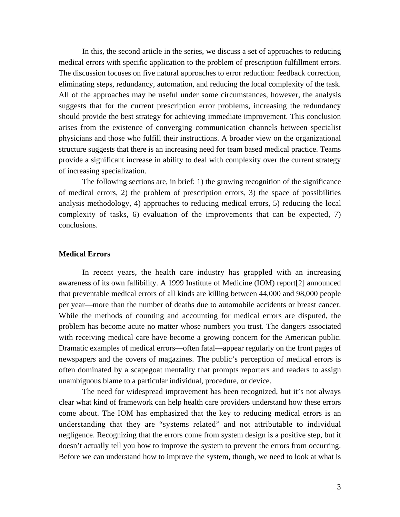In this, the second article in the series, we discuss a set of approaches to reducing medical errors with specific application to the problem of prescription fulfillment errors. The discussion focuses on five natural approaches to error reduction: feedback correction, eliminating steps, redundancy, automation, and reducing the local complexity of the task. All of the approaches may be useful under some circumstances, however, the analysis suggests that for the current prescription error problems, increasing the redundancy should provide the best strategy for achieving immediate improvement. This conclusion arises from the existence of converging communication channels between specialist physicians and those who fulfill their instructions. A broader view on the organizational structure suggests that there is an increasing need for team based medical practice. Teams provide a significant increase in ability to deal with complexity over the current strategy of increasing specialization.

The following sections are, in brief: 1) the growing recognition of the significance of medical errors, 2) the problem of prescription errors, 3) the space of possibilities analysis methodology, 4) approaches to reducing medical errors, 5) reducing the local complexity of tasks, 6) evaluation of the improvements that can be expected, 7) conclusions.

#### **Medical Errors**

In recent years, the health care industry has grappled with an increasing awareness of its own fallibility. A 1999 Institute of Medicine (IOM) report[2] announced that preventable medical errors of all kinds are killing between 44,000 and 98,000 people per year—more than the number of deaths due to automobile accidents or breast cancer. While the methods of counting and accounting for medical errors are disputed, the problem has become acute no matter whose numbers you trust. The dangers associated with receiving medical care have become a growing concern for the American public. Dramatic examples of medical errors—often fatal—appear regularly on the front pages of newspapers and the covers of magazines. The public's perception of medical errors is often dominated by a scapegoat mentality that prompts reporters and readers to assign unambiguous blame to a particular individual, procedure, or device.

The need for widespread improvement has been recognized, but it's not always clear what kind of framework can help health care providers understand how these errors come about. The IOM has emphasized that the key to reducing medical errors is an understanding that they are "systems related" and not attributable to individual negligence. Recognizing that the errors come from system design is a positive step, but it doesn't actually tell you how to improve the system to prevent the errors from occurring. Before we can understand how to improve the system, though, we need to look at what is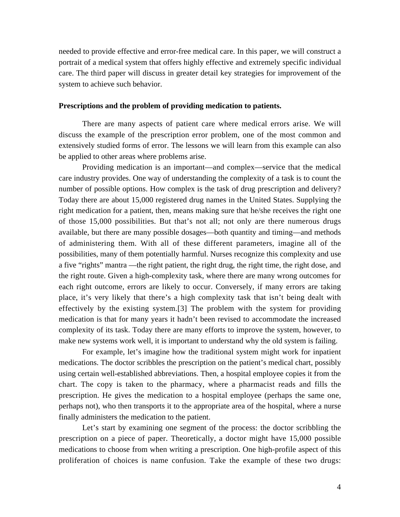needed to provide effective and error-free medical care. In this paper, we will construct a portrait of a medical system that offers highly effective and extremely specific individual care. The third paper will discuss in greater detail key strategies for improvement of the system to achieve such behavior.

#### **Prescriptions and the problem of providing medication to patients.**

There are many aspects of patient care where medical errors arise. We will discuss the example of the prescription error problem, one of the most common and extensively studied forms of error. The lessons we will learn from this example can also be applied to other areas where problems arise.

Providing medication is an important—and complex—service that the medical care industry provides. One way of understanding the complexity of a task is to count the number of possible options. How complex is the task of drug prescription and delivery? Today there are about 15,000 registered drug names in the United States. Supplying the right medication for a patient, then, means making sure that he/she receives the right one of those 15,000 possibilities. But that's not all; not only are there numerous drugs available, but there are many possible dosages—both quantity and timing—and methods of administering them. With all of these different parameters, imagine all of the possibilities, many of them potentially harmful. Nurses recognize this complexity and use a five "rights" mantra —the right patient, the right drug, the right time, the right dose, and the right route. Given a high-complexity task, where there are many wrong outcomes for each right outcome, errors are likely to occur. Conversely, if many errors are taking place, it's very likely that there's a high complexity task that isn't being dealt with effectively by the existing system.[3] The problem with the system for providing medication is that for many years it hadn't been revised to accommodate the increased complexity of its task. Today there are many efforts to improve the system, however, to make new systems work well, it is important to understand why the old system is failing.

For example, let's imagine how the traditional system might work for inpatient medications. The doctor scribbles the prescription on the patient's medical chart, possibly using certain well-established abbreviations. Then, a hospital employee copies it from the chart. The copy is taken to the pharmacy, where a pharmacist reads and fills the prescription. He gives the medication to a hospital employee (perhaps the same one, perhaps not), who then transports it to the appropriate area of the hospital, where a nurse finally administers the medication to the patient.

Let's start by examining one segment of the process: the doctor scribbling the prescription on a piece of paper. Theoretically, a doctor might have 15,000 possible medications to choose from when writing a prescription. One high-profile aspect of this proliferation of choices is name confusion. Take the example of these two drugs: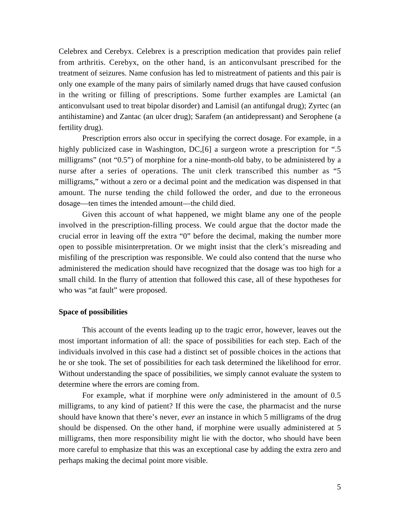Celebrex and Cerebyx. Celebrex is a prescription medication that provides pain relief from arthritis. Cerebyx, on the other hand, is an anticonvulsant prescribed for the treatment of seizures. Name confusion has led to mistreatment of patients and this pair is only one example of the many pairs of similarly named drugs that have caused confusion in the writing or filling of prescriptions. Some further examples are Lamictal (an anticonvulsant used to treat bipolar disorder) and Lamisil (an antifungal drug); Zyrtec (an antihistamine) and Zantac (an ulcer drug); Sarafem (an antidepressant) and Serophene (a fertility drug).

Prescription errors also occur in specifying the correct dosage. For example, in a highly publicized case in Washington, DC, [6] a surgeon wrote a prescription for ".5 milligrams" (not "0.5") of morphine for a nine-month-old baby, to be administered by a nurse after a series of operations. The unit clerk transcribed this number as "5 milligrams," without a zero or a decimal point and the medication was dispensed in that amount. The nurse tending the child followed the order, and due to the erroneous dosage—ten times the intended amount—the child died.

Given this account of what happened, we might blame any one of the people involved in the prescription-filling process. We could argue that the doctor made the crucial error in leaving off the extra "0" before the decimal, making the number more open to possible misinterpretation. Or we might insist that the clerk's misreading and misfiling of the prescription was responsible. We could also contend that the nurse who administered the medication should have recognized that the dosage was too high for a small child. In the flurry of attention that followed this case, all of these hypotheses for who was "at fault" were proposed.

#### **Space of possibilities**

This account of the events leading up to the tragic error, however, leaves out the most important information of all: the space of possibilities for each step. Each of the individuals involved in this case had a distinct set of possible choices in the actions that he or she took. The set of possibilities for each task determined the likelihood for error. Without understanding the space of possibilities, we simply cannot evaluate the system to determine where the errors are coming from.

For example, what if morphine were *only* administered in the amount of 0.5 milligrams, to any kind of patient? If this were the case, the pharmacist and the nurse should have known that there's never, *ever* an instance in which 5 milligrams of the drug should be dispensed. On the other hand, if morphine were usually administered at 5 milligrams, then more responsibility might lie with the doctor, who should have been more careful to emphasize that this was an exceptional case by adding the extra zero and perhaps making the decimal point more visible.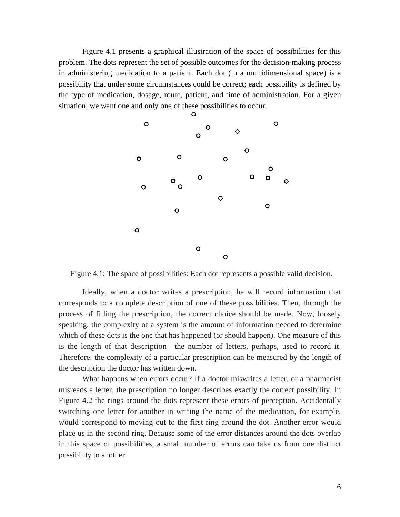Figure 4.1 presents a graphical illustration of the space of possibilities for this problem. The dots represent the set of possible outcomes for the decision-making process in administering medication to a patient. Each dot (in a multidimensional space) is a possibility that under some circumstances could be correct; each possibility is defined by the type of medication, dosage, route, patient, and time of administration. For a given situation, we want one and only one of these possibilities to occur.



Figure 4.1: The space of possibilities: Each dot represents a possible valid decision.

Ideally, when a doctor writes a prescription, he will record information that corresponds to a complete description of one of these possibilities. Then, through the process of filling the prescription, the correct choice should be made. Now, loosely speaking, the complexity of a system is the amount of information needed to determine which of these dots is the one that has happened (or should happen). One measure of this is the length of that description—the number of letters, perhaps, used to record it. Therefore, the complexity of a particular prescription can be measured by the length of the description the doctor has written down.

What happens when errors occur? If a doctor miswrites a letter, or a pharmacist misreads a letter, the prescription no longer describes exactly the correct possibility. In Figure 4.2 the rings around the dots represent these errors of perception. Accidentally switching one letter for another in writing the name of the medication, for example, would correspond to moving out to the first ring around the dot. Another error would place us in the second ring. Because some of the error distances around the dots overlap in this space of possibilities, a small number of errors can take us from one distinct possibility to another.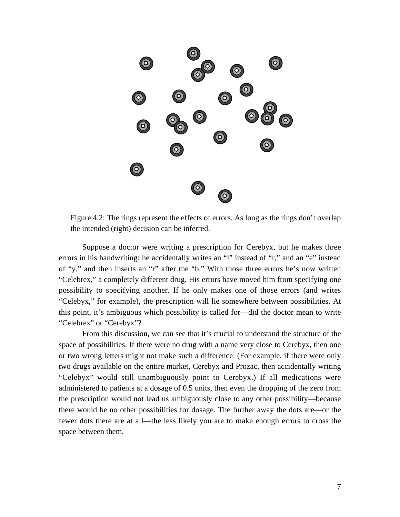

Figure 4.2: The rings represent the effects of errors. As long as the rings don't overlap the intended (right) decision can be inferred.

Suppose a doctor were writing a prescription for Cerebyx, but he makes three errors in his handwriting: he accidentally writes an "l" instead of "r," and an "e" instead of "y," and then inserts an "r" after the "b." With those three errors he's now written "Celebrex," a completely different drug. His errors have moved him from specifying one possibility to specifying another. If he only makes one of those errors (and writes "Celebyx," for example), the prescription will lie somewhere between possibilities. At this point, it's ambiguous which possibility is called for—did the doctor mean to write "Celebrex" or "Cerebyx"?

From this discussion, we can see that it's crucial to understand the structure of the space of possibilities. If there were no drug with a name very close to Cerebyx, then one or two wrong letters might not make such a difference. (For example, if there were only two drugs available on the entire market, Cerebyx and Prozac, then accidentally writing "Celebyx" would still unambiguously point to Cerebyx.) If all medications were administered to patients at a dosage of 0.5 units, then even the dropping of the zero from the prescription would not lead us ambiguously close to any other possibility—because there would be no other possibilities for dosage. The further away the dots are—or the fewer dots there are at all—the less likely you are to make enough errors to cross the space between them.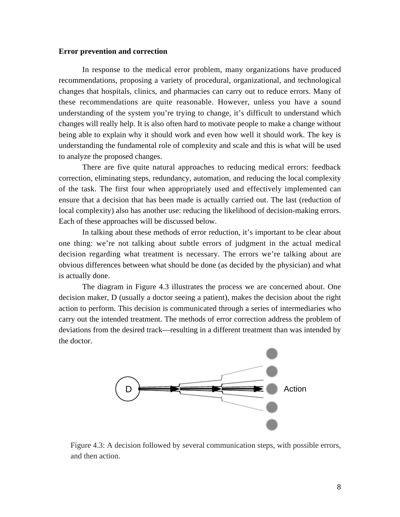#### **Error prevention and correction**

In response to the medical error problem, many organizations have produced recommendations, proposing a variety of procedural, organizational, and technological changes that hospitals, clinics, and pharmacies can carry out to reduce errors. Many of these recommendations are quite reasonable. However, unless you have a sound understanding of the system you're trying to change, it's difficult to understand which changes will really help. It is also often hard to motivate people to make a change without being able to explain why it should work and even how well it should work. The key is understanding the fundamental role of complexity and scale and this is what will be used to analyze the proposed changes.

There are five quite natural approaches to reducing medical errors: feedback correction, eliminating steps, redundancy, automation, and reducing the local complexity of the task. The first four when appropriately used and effectively implemented can ensure that a decision that has been made is actually carried out. The last (reduction of local complexity) also has another use: reducing the likelihood of decision-making errors. Each of these approaches will be discussed below.

In talking about these methods of error reduction, it's important to be clear about one thing: we're not talking about subtle errors of judgment in the actual medical decision regarding what treatment is necessary. The errors we're talking about are obvious differences between what should be done (as decided by the physician) and what is actually done.

The diagram in Figure 4.3 illustrates the process we are concerned about. One decision maker, D (usually a doctor seeing a patient), makes the decision about the right action to perform. This decision is communicated through a series of intermediaries who carry out the intended treatment. The methods of error correction address the problem of deviations from the desired track—resulting in a different treatment than was intended by the doctor.



Figure 4.3: A decision followed by several communication steps, with possible errors, and then action.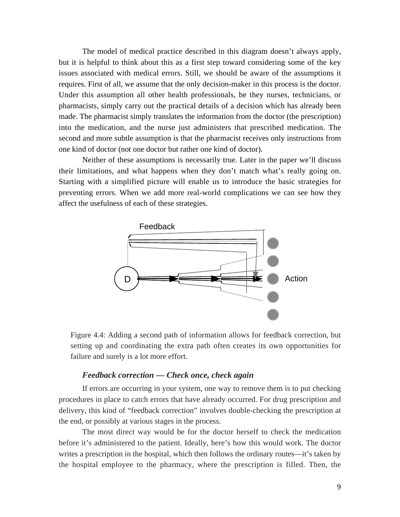The model of medical practice described in this diagram doesn't always apply, but it is helpful to think about this as a first step toward considering some of the key issues associated with medical errors. Still, we should be aware of the assumptions it requires. First of all, we assume that the only decision-maker in this process is the doctor. Under this assumption all other health professionals, be they nurses, technicians, or pharmacists, simply carry out the practical details of a decision which has already been made. The pharmacist simply translates the information from the doctor (the prescription) into the medication, and the nurse just administers that prescribed medication. The second and more subtle assumption is that the pharmacist receives only instructions from one kind of doctor (not one doctor but rather one kind of doctor).

Neither of these assumptions is necessarily true. Later in the paper we'll discuss their limitations, and what happens when they don't match what's really going on. Starting with a simplified picture will enable us to introduce the basic strategies for preventing errors. When we add more real-world complications we can see how they affect the usefulness of each of these strategies.



Figure 4.4: Adding a second path of information allows for feedback correction, but setting up and coordinating the extra path often creates its own opportunities for failure and surely is a lot more effort.

#### *Feedback correction — Check once, check again*

If errors are occurring in your system, one way to remove them is to put checking procedures in place to catch errors that have already occurred. For drug prescription and delivery, this kind of "feedback correction" involves double-checking the prescription at the end, or possibly at various stages in the process.

The most direct way would be for the doctor herself to check the medication before it's administered to the patient. Ideally, here's how this would work. The doctor writes a prescription in the hospital, which then follows the ordinary routes—it's taken by the hospital employee to the pharmacy, where the prescription is filled. Then, the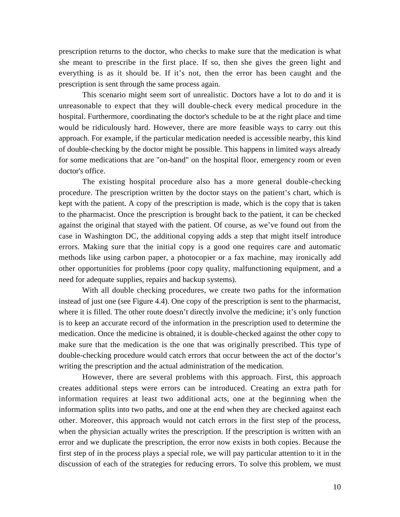prescription returns to the doctor, who checks to make sure that the medication is what she meant to prescribe in the first place. If so, then she gives the green light and everything is as it should be. If it's not, then the error has been caught and the prescription is sent through the same process again.

This scenario might seem sort of unrealistic. Doctors have a lot to do and it is unreasonable to expect that they will double-check every medical procedure in the hospital. Furthermore, coordinating the doctor's schedule to be at the right place and time would be ridiculously hard. However, there are more feasible ways to carry out this approach. For example, if the particular medication needed is accessible nearby, this kind of double-checking by the doctor might be possible. This happens in limited ways already for some medications that are "on-hand" on the hospital floor, emergency room or even doctor's office.

The existing hospital procedure also has a more general double-checking procedure. The prescription written by the doctor stays on the patient's chart, which is kept with the patient. A copy of the prescription is made, which is the copy that is taken to the pharmacist. Once the prescription is brought back to the patient, it can be checked against the original that stayed with the patient. Of course, as we've found out from the case in Washington DC, the additional copying adds a step that might itself introduce errors. Making sure that the initial copy is a good one requires care and automatic methods like using carbon paper, a photocopier or a fax machine, may ironically add other opportunities for problems (poor copy quality, malfunctioning equipment, and a need for adequate supplies, repairs and backup systems).

With all double checking procedures, we create two paths for the information instead of just one (see Figure 4.4). One copy of the prescription is sent to the pharmacist, where it is filled. The other route doesn't directly involve the medicine; it's only function is to keep an accurate record of the information in the prescription used to determine the medication. Once the medicine is obtained, it is double-checked against the other copy to make sure that the medication is the one that was originally prescribed. This type of double-checking procedure would catch errors that occur between the act of the doctor's writing the prescription and the actual administration of the medication.

However, there are several problems with this approach. First, this approach creates additional steps were errors can be introduced. Creating an extra path for information requires at least two additional acts, one at the beginning when the information splits into two paths, and one at the end when they are checked against each other. Moreover, this approach would not catch errors in the first step of the process, when the physician actually writes the prescription. If the prescription is written with an error and we duplicate the prescription, the error now exists in both copies. Because the first step of in the process plays a special role, we will pay particular attention to it in the discussion of each of the strategies for reducing errors. To solve this problem, we must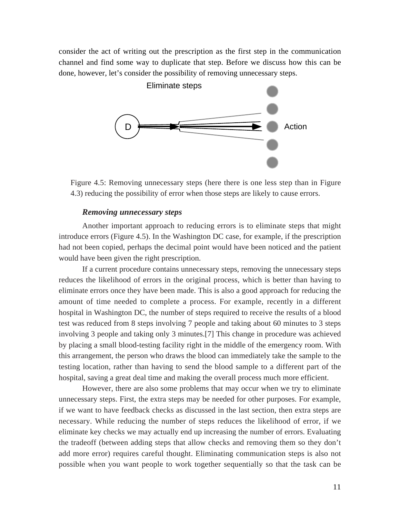consider the act of writing out the prescription as the first step in the communication channel and find some way to duplicate that step. Before we discuss how this can be done, however, let's consider the possibility of removing unnecessary steps.



Figure 4.5: Removing unnecessary steps (here there is one less step than in Figure 4.3) reducing the possibility of error when those steps are likely to cause errors.

#### *Removing unnecessary steps*

Another important approach to reducing errors is to eliminate steps that might introduce errors (Figure 4.5). In the Washington DC case, for example, if the prescription had not been copied, perhaps the decimal point would have been noticed and the patient would have been given the right prescription.

If a current procedure contains unnecessary steps, removing the unnecessary steps reduces the likelihood of errors in the original process, which is better than having to eliminate errors once they have been made. This is also a good approach for reducing the amount of time needed to complete a process. For example, recently in a different hospital in Washington DC, the number of steps required to receive the results of a blood test was reduced from 8 steps involving 7 people and taking about 60 minutes to 3 steps involving 3 people and taking only 3 minutes.[7] This change in procedure was achieved by placing a small blood-testing facility right in the middle of the emergency room. With this arrangement, the person who draws the blood can immediately take the sample to the testing location, rather than having to send the blood sample to a different part of the hospital, saving a great deal time and making the overall process much more efficient.

However, there are also some problems that may occur when we try to eliminate unnecessary steps. First, the extra steps may be needed for other purposes. For example, if we want to have feedback checks as discussed in the last section, then extra steps are necessary. While reducing the number of steps reduces the likelihood of error, if we eliminate key checks we may actually end up increasing the number of errors. Evaluating the tradeoff (between adding steps that allow checks and removing them so they don't add more error) requires careful thought. Eliminating communication steps is also not possible when you want people to work together sequentially so that the task can be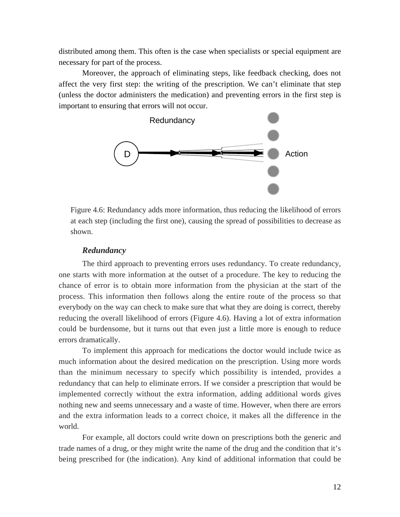distributed among them. This often is the case when specialists or special equipment are necessary for part of the process.

Moreover, the approach of eliminating steps, like feedback checking, does not affect the very first step: the writing of the prescription. We can't eliminate that step (unless the doctor administers the medication) and preventing errors in the first step is important to ensuring that errors will not occur.



Figure 4.6: Redundancy adds more information, thus reducing the likelihood of errors at each step (including the first one), causing the spread of possibilities to decrease as shown.

#### *Redundancy*

The third approach to preventing errors uses redundancy. To create redundancy, one starts with more information at the outset of a procedure. The key to reducing the chance of error is to obtain more information from the physician at the start of the process. This information then follows along the entire route of the process so that everybody on the way can check to make sure that what they are doing is correct, thereby reducing the overall likelihood of errors (Figure 4.6). Having a lot of extra information could be burdensome, but it turns out that even just a little more is enough to reduce errors dramatically.

To implement this approach for medications the doctor would include twice as much information about the desired medication on the prescription. Using more words than the minimum necessary to specify which possibility is intended, provides a redundancy that can help to eliminate errors. If we consider a prescription that would be implemented correctly without the extra information, adding additional words gives nothing new and seems unnecessary and a waste of time. However, when there are errors and the extra information leads to a correct choice, it makes all the difference in the world.

For example, all doctors could write down on prescriptions both the generic and trade names of a drug, or they might write the name of the drug and the condition that it's being prescribed for (the indication). Any kind of additional information that could be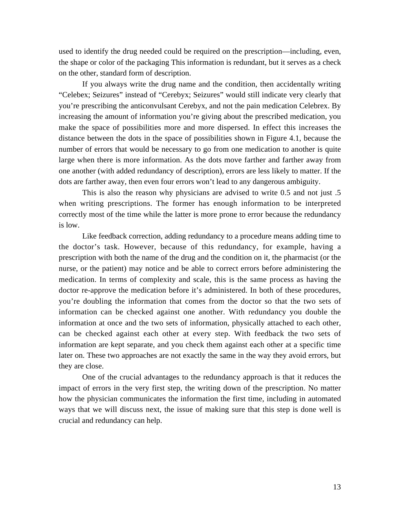used to identify the drug needed could be required on the prescription—including, even, the shape or color of the packaging This information is redundant, but it serves as a check on the other, standard form of description.

If you always write the drug name and the condition, then accidentally writing "Celebex; Seizures" instead of "Cerebyx; Seizures" would still indicate very clearly that you're prescribing the anticonvulsant Cerebyx, and not the pain medication Celebrex. By increasing the amount of information you're giving about the prescribed medication, you make the space of possibilities more and more dispersed. In effect this increases the distance between the dots in the space of possibilities shown in Figure 4.1, because the number of errors that would be necessary to go from one medication to another is quite large when there is more information. As the dots move farther and farther away from one another (with added redundancy of description), errors are less likely to matter. If the dots are farther away, then even four errors won't lead to any dangerous ambiguity.

This is also the reason why physicians are advised to write 0.5 and not just .5 when writing prescriptions. The former has enough information to be interpreted correctly most of the time while the latter is more prone to error because the redundancy is low.

Like feedback correction, adding redundancy to a procedure means adding time to the doctor's task. However, because of this redundancy, for example, having a prescription with both the name of the drug and the condition on it, the pharmacist (or the nurse, or the patient) may notice and be able to correct errors before administering the medication. In terms of complexity and scale, this is the same process as having the doctor re-approve the medication before it's administered. In both of these procedures, you're doubling the information that comes from the doctor so that the two sets of information can be checked against one another. With redundancy you double the information at once and the two sets of information, physically attached to each other, can be checked against each other at every step. With feedback the two sets of information are kept separate, and you check them against each other at a specific time later on. These two approaches are not exactly the same in the way they avoid errors, but they are close.

One of the crucial advantages to the redundancy approach is that it reduces the impact of errors in the very first step, the writing down of the prescription. No matter how the physician communicates the information the first time, including in automated ways that we will discuss next, the issue of making sure that this step is done well is crucial and redundancy can help.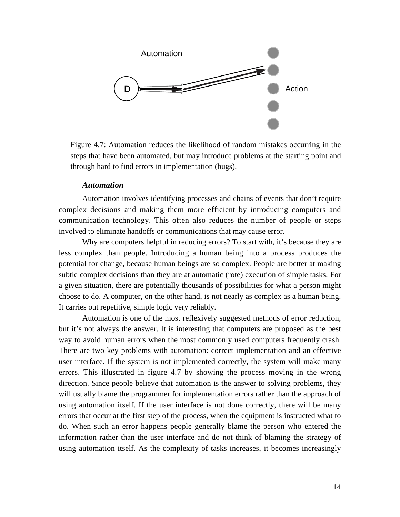

Figure 4.7: Automation reduces the likelihood of random mistakes occurring in the steps that have been automated, but may introduce problems at the starting point and through hard to find errors in implementation (bugs).

#### *Automation*

Automation involves identifying processes and chains of events that don't require complex decisions and making them more efficient by introducing computers and communication technology. This often also reduces the number of people or steps involved to eliminate handoffs or communications that may cause error.

Why are computers helpful in reducing errors? To start with, it's because they are less complex than people. Introducing a human being into a process produces the potential for change, because human beings are so complex. People are better at making subtle complex decisions than they are at automatic (rote) execution of simple tasks. For a given situation, there are potentially thousands of possibilities for what a person might choose to do. A computer, on the other hand, is not nearly as complex as a human being. It carries out repetitive, simple logic very reliably.

Automation is one of the most reflexively suggested methods of error reduction, but it's not always the answer. It is interesting that computers are proposed as the best way to avoid human errors when the most commonly used computers frequently crash. There are two key problems with automation: correct implementation and an effective user interface. If the system is not implemented correctly, the system will make many errors. This illustrated in figure 4.7 by showing the process moving in the wrong direction. Since people believe that automation is the answer to solving problems, they will usually blame the programmer for implementation errors rather than the approach of using automation itself. If the user interface is not done correctly, there will be many errors that occur at the first step of the process, when the equipment is instructed what to do. When such an error happens people generally blame the person who entered the information rather than the user interface and do not think of blaming the strategy of using automation itself. As the complexity of tasks increases, it becomes increasingly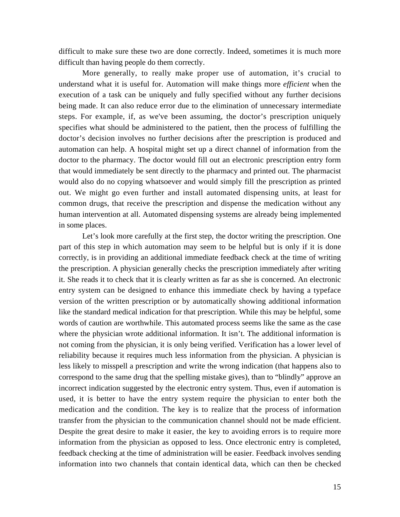difficult to make sure these two are done correctly. Indeed, sometimes it is much more difficult than having people do them correctly.

More generally, to really make proper use of automation, it's crucial to understand what it is useful for. Automation will make things more *efficient* when the execution of a task can be uniquely and fully specified without any further decisions being made. It can also reduce error due to the elimination of unnecessary intermediate steps. For example, if, as we've been assuming, the doctor's prescription uniquely specifies what should be administered to the patient, then the process of fulfilling the doctor's decision involves no further decisions after the prescription is produced and automation can help. A hospital might set up a direct channel of information from the doctor to the pharmacy. The doctor would fill out an electronic prescription entry form that would immediately be sent directly to the pharmacy and printed out. The pharmacist would also do no copying whatsoever and would simply fill the prescription as printed out. We might go even further and install automated dispensing units, at least for common drugs, that receive the prescription and dispense the medication without any human intervention at all. Automated dispensing systems are already being implemented in some places.

Let's look more carefully at the first step, the doctor writing the prescription. One part of this step in which automation may seem to be helpful but is only if it is done correctly, is in providing an additional immediate feedback check at the time of writing the prescription. A physician generally checks the prescription immediately after writing it. She reads it to check that it is clearly written as far as she is concerned. An electronic entry system can be designed to enhance this immediate check by having a typeface version of the written prescription or by automatically showing additional information like the standard medical indication for that prescription. While this may be helpful, some words of caution are worthwhile. This automated process seems like the same as the case where the physician wrote additional information. It isn't. The additional information is not coming from the physician, it is only being verified. Verification has a lower level of reliability because it requires much less information from the physician. A physician is less likely to misspell a prescription and write the wrong indication (that happens also to correspond to the same drug that the spelling mistake gives), than to "blindly" approve an incorrect indication suggested by the electronic entry system. Thus, even if automation is used, it is better to have the entry system require the physician to enter both the medication and the condition. The key is to realize that the process of information transfer from the physician to the communication channel should not be made efficient. Despite the great desire to make it easier, the key to avoiding errors is to require more information from the physician as opposed to less. Once electronic entry is completed, feedback checking at the time of administration will be easier. Feedback involves sending information into two channels that contain identical data, which can then be checked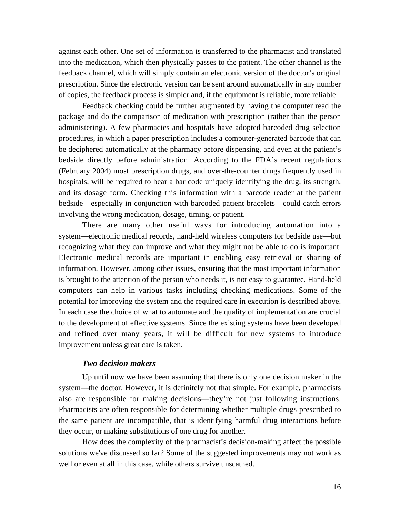against each other. One set of information is transferred to the pharmacist and translated into the medication, which then physically passes to the patient. The other channel is the feedback channel, which will simply contain an electronic version of the doctor's original prescription. Since the electronic version can be sent around automatically in any number of copies, the feedback process is simpler and, if the equipment is reliable, more reliable.

Feedback checking could be further augmented by having the computer read the package and do the comparison of medication with prescription (rather than the person administering). A few pharmacies and hospitals have adopted barcoded drug selection procedures, in which a paper prescription includes a computer-generated barcode that can be deciphered automatically at the pharmacy before dispensing, and even at the patient's bedside directly before administration. According to the FDA's recent regulations (February 2004) most prescription drugs, and over-the-counter drugs frequently used in hospitals, will be required to bear a bar code uniquely identifying the drug, its strength, and its dosage form. Checking this information with a barcode reader at the patient bedside—especially in conjunction with barcoded patient bracelets—could catch errors involving the wrong medication, dosage, timing, or patient.

There are many other useful ways for introducing automation into a system—electronic medical records, hand-held wireless computers for bedside use—but recognizing what they can improve and what they might not be able to do is important. Electronic medical records are important in enabling easy retrieval or sharing of information. However, among other issues, ensuring that the most important information is brought to the attention of the person who needs it, is not easy to guarantee. Hand-held computers can help in various tasks including checking medications. Some of the potential for improving the system and the required care in execution is described above. In each case the choice of what to automate and the quality of implementation are crucial to the development of effective systems. Since the existing systems have been developed and refined over many years, it will be difficult for new systems to introduce improvement unless great care is taken.

#### *Two decision makers*

Up until now we have been assuming that there is only one decision maker in the system—the doctor. However, it is definitely not that simple. For example, pharmacists also are responsible for making decisions—they're not just following instructions. Pharmacists are often responsible for determining whether multiple drugs prescribed to the same patient are incompatible, that is identifying harmful drug interactions before they occur, or making substitutions of one drug for another.

How does the complexity of the pharmacist's decision-making affect the possible solutions we've discussed so far? Some of the suggested improvements may not work as well or even at all in this case, while others survive unscathed.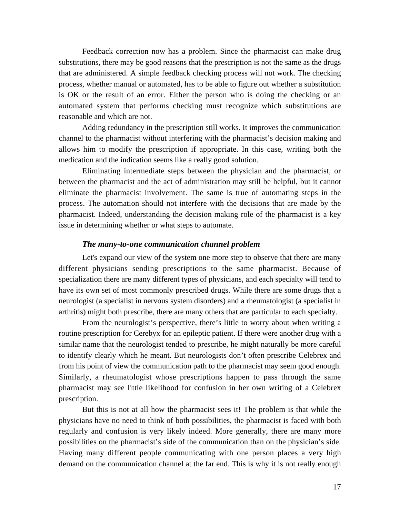Feedback correction now has a problem. Since the pharmacist can make drug substitutions, there may be good reasons that the prescription is not the same as the drugs that are administered. A simple feedback checking process will not work. The checking process, whether manual or automated, has to be able to figure out whether a substitution is OK or the result of an error. Either the person who is doing the checking or an automated system that performs checking must recognize which substitutions are reasonable and which are not.

Adding redundancy in the prescription still works. It improves the communication channel to the pharmacist without interfering with the pharmacist's decision making and allows him to modify the prescription if appropriate. In this case, writing both the medication and the indication seems like a really good solution.

Eliminating intermediate steps between the physician and the pharmacist, or between the pharmacist and the act of administration may still be helpful, but it cannot eliminate the pharmacist involvement. The same is true of automating steps in the process. The automation should not interfere with the decisions that are made by the pharmacist. Indeed, understanding the decision making role of the pharmacist is a key issue in determining whether or what steps to automate.

#### *The many-to-one communication channel problem*

Let's expand our view of the system one more step to observe that there are many different physicians sending prescriptions to the same pharmacist. Because of specialization there are many different types of physicians, and each specialty will tend to have its own set of most commonly prescribed drugs. While there are some drugs that a neurologist (a specialist in nervous system disorders) and a rheumatologist (a specialist in arthritis) might both prescribe, there are many others that are particular to each specialty.

From the neurologist's perspective, there's little to worry about when writing a routine prescription for Cerebyx for an epileptic patient. If there were another drug with a similar name that the neurologist tended to prescribe, he might naturally be more careful to identify clearly which he meant. But neurologists don't often prescribe Celebrex and from his point of view the communication path to the pharmacist may seem good enough. Similarly, a rheumatologist whose prescriptions happen to pass through the same pharmacist may see little likelihood for confusion in her own writing of a Celebrex prescription.

But this is not at all how the pharmacist sees it! The problem is that while the physicians have no need to think of both possibilities, the pharmacist is faced with both regularly and confusion is very likely indeed. More generally, there are many more possibilities on the pharmacist's side of the communication than on the physician's side. Having many different people communicating with one person places a very high demand on the communication channel at the far end. This is why it is not really enough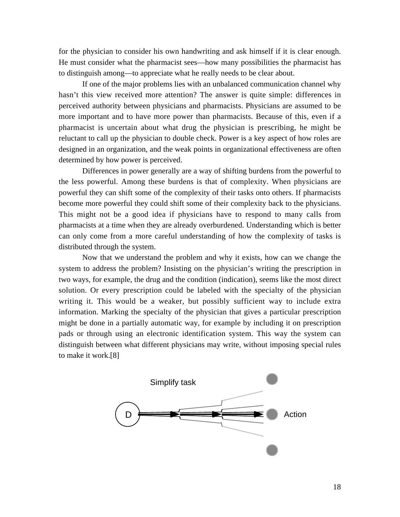for the physician to consider his own handwriting and ask himself if it is clear enough. He must consider what the pharmacist sees—how many possibilities the pharmacist has to distinguish among—to appreciate what he really needs to be clear about.

If one of the major problems lies with an unbalanced communication channel why hasn't this view received more attention? The answer is quite simple: differences in perceived authority between physicians and pharmacists. Physicians are assumed to be more important and to have more power than pharmacists. Because of this, even if a pharmacist is uncertain about what drug the physician is prescribing, he might be reluctant to call up the physician to double check. Power is a key aspect of how roles are designed in an organization, and the weak points in organizational effectiveness are often determined by how power is perceived.

Differences in power generally are a way of shifting burdens from the powerful to the less powerful. Among these burdens is that of complexity. When physicians are powerful they can shift some of the complexity of their tasks onto others. If pharmacists become more powerful they could shift some of their complexity back to the physicians. This might not be a good idea if physicians have to respond to many calls from pharmacists at a time when they are already overburdened. Understanding which is better can only come from a more careful understanding of how the complexity of tasks is distributed through the system.

Now that we understand the problem and why it exists, how can we change the system to address the problem? Insisting on the physician's writing the prescription in two ways, for example, the drug and the condition (indication), seems like the most direct solution. Or every prescription could be labeled with the specialty of the physician writing it. This would be a weaker, but possibly sufficient way to include extra information. Marking the specialty of the physician that gives a particular prescription might be done in a partially automatic way, for example by including it on prescription pads or through using an electronic identification system. This way the system can distinguish between what different physicians may write, without imposing special rules to make it work.[8]

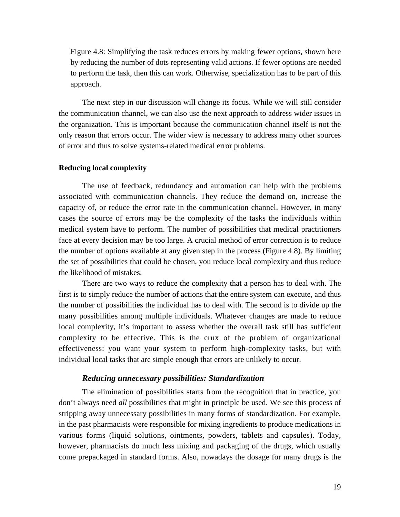Figure 4.8: Simplifying the task reduces errors by making fewer options, shown here by reducing the number of dots representing valid actions. If fewer options are needed to perform the task, then this can work. Otherwise, specialization has to be part of this approach.

The next step in our discussion will change its focus. While we will still consider the communication channel, we can also use the next approach to address wider issues in the organization. This is important because the communication channel itself is not the only reason that errors occur. The wider view is necessary to address many other sources of error and thus to solve systems-related medical error problems.

#### **Reducing local complexity**

The use of feedback, redundancy and automation can help with the problems associated with communication channels. They reduce the demand on, increase the capacity of, or reduce the error rate in the communication channel. However, in many cases the source of errors may be the complexity of the tasks the individuals within medical system have to perform. The number of possibilities that medical practitioners face at every decision may be too large. A crucial method of error correction is to reduce the number of options available at any given step in the process (Figure 4.8). By limiting the set of possibilities that could be chosen, you reduce local complexity and thus reduce the likelihood of mistakes.

There are two ways to reduce the complexity that a person has to deal with. The first is to simply reduce the number of actions that the entire system can execute, and thus the number of possibilities the individual has to deal with. The second is to divide up the many possibilities among multiple individuals. Whatever changes are made to reduce local complexity, it's important to assess whether the overall task still has sufficient complexity to be effective. This is the crux of the problem of organizational effectiveness: you want your system to perform high-complexity tasks, but with individual local tasks that are simple enough that errors are unlikely to occur.

#### *Reducing unnecessary possibilities: Standardization*

The elimination of possibilities starts from the recognition that in practice, you don't always need *all* possibilities that might in principle be used. We see this process of stripping away unnecessary possibilities in many forms of standardization. For example, in the past pharmacists were responsible for mixing ingredients to produce medications in various forms (liquid solutions, ointments, powders, tablets and capsules). Today, however, pharmacists do much less mixing and packaging of the drugs, which usually come prepackaged in standard forms. Also, nowadays the dosage for many drugs is the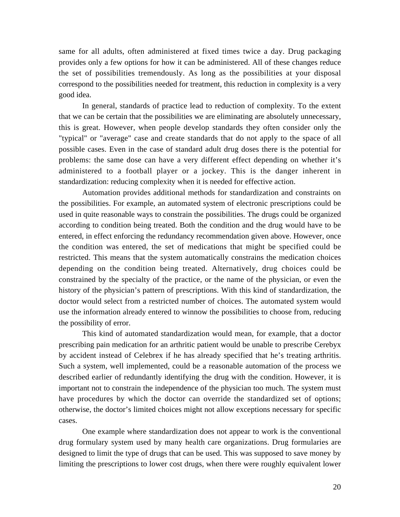same for all adults, often administered at fixed times twice a day. Drug packaging provides only a few options for how it can be administered. All of these changes reduce the set of possibilities tremendously. As long as the possibilities at your disposal correspond to the possibilities needed for treatment, this reduction in complexity is a very good idea.

In general, standards of practice lead to reduction of complexity. To the extent that we can be certain that the possibilities we are eliminating are absolutely unnecessary, this is great. However, when people develop standards they often consider only the "typical" or "average" case and create standards that do not apply to the space of all possible cases. Even in the case of standard adult drug doses there is the potential for problems: the same dose can have a very different effect depending on whether it's administered to a football player or a jockey. This is the danger inherent in standardization: reducing complexity when it is needed for effective action.

Automation provides additional methods for standardization and constraints on the possibilities. For example, an automated system of electronic prescriptions could be used in quite reasonable ways to constrain the possibilities. The drugs could be organized according to condition being treated. Both the condition and the drug would have to be entered, in effect enforcing the redundancy recommendation given above. However, once the condition was entered, the set of medications that might be specified could be restricted. This means that the system automatically constrains the medication choices depending on the condition being treated. Alternatively, drug choices could be constrained by the specialty of the practice, or the name of the physician, or even the history of the physician's pattern of prescriptions. With this kind of standardization, the doctor would select from a restricted number of choices. The automated system would use the information already entered to winnow the possibilities to choose from, reducing the possibility of error.

This kind of automated standardization would mean, for example, that a doctor prescribing pain medication for an arthritic patient would be unable to prescribe Cerebyx by accident instead of Celebrex if he has already specified that he's treating arthritis. Such a system, well implemented, could be a reasonable automation of the process we described earlier of redundantly identifying the drug with the condition. However, it is important not to constrain the independence of the physician too much. The system must have procedures by which the doctor can override the standardized set of options; otherwise, the doctor's limited choices might not allow exceptions necessary for specific cases.

One example where standardization does not appear to work is the conventional drug formulary system used by many health care organizations. Drug formularies are designed to limit the type of drugs that can be used. This was supposed to save money by limiting the prescriptions to lower cost drugs, when there were roughly equivalent lower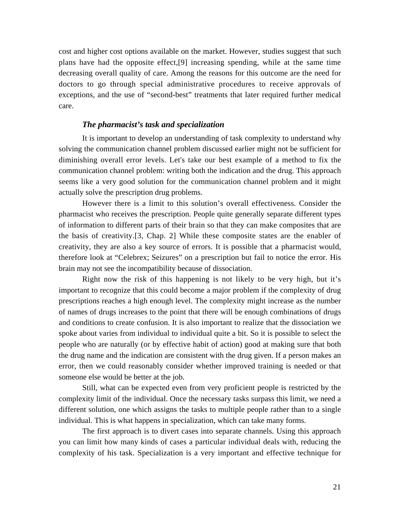cost and higher cost options available on the market. However, studies suggest that such plans have had the opposite effect,[9] increasing spending, while at the same time decreasing overall quality of care. Among the reasons for this outcome are the need for doctors to go through special administrative procedures to receive approvals of exceptions, and the use of "second-best" treatments that later required further medical care.

#### *The pharmacist's task and specialization*

It is important to develop an understanding of task complexity to understand why solving the communication channel problem discussed earlier might not be sufficient for diminishing overall error levels. Let's take our best example of a method to fix the communication channel problem: writing both the indication and the drug. This approach seems like a very good solution for the communication channel problem and it might actually solve the prescription drug problems.

However there is a limit to this solution's overall effectiveness. Consider the pharmacist who receives the prescription. People quite generally separate different types of information to different parts of their brain so that they can make composites that are the basis of creativity.[3, Chap. 2] While these composite states are the enabler of creativity, they are also a key source of errors. It is possible that a pharmacist would, therefore look at "Celebrex; Seizures" on a prescription but fail to notice the error. His brain may not see the incompatibility because of dissociation.

Right now the risk of this happening is not likely to be very high, but it's important to recognize that this could become a major problem if the complexity of drug prescriptions reaches a high enough level. The complexity might increase as the number of names of drugs increases to the point that there will be enough combinations of drugs and conditions to create confusion. It is also important to realize that the dissociation we spoke about varies from individual to individual quite a bit. So it is possible to select the people who are naturally (or by effective habit of action) good at making sure that both the drug name and the indication are consistent with the drug given. If a person makes an error, then we could reasonably consider whether improved training is needed or that someone else would be better at the job.

Still, what can be expected even from very proficient people is restricted by the complexity limit of the individual. Once the necessary tasks surpass this limit, we need a different solution, one which assigns the tasks to multiple people rather than to a single individual. This is what happens in specialization, which can take many forms.

The first approach is to divert cases into separate channels. Using this approach you can limit how many kinds of cases a particular individual deals with, reducing the complexity of his task. Specialization is a very important and effective technique for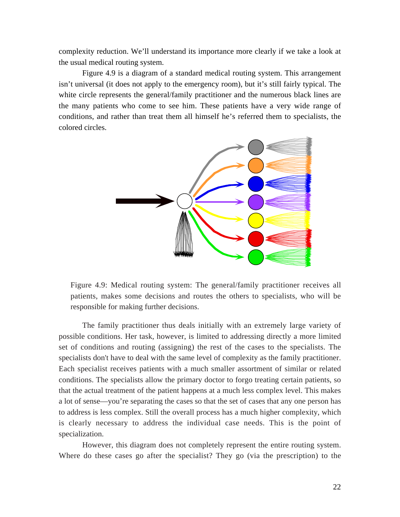complexity reduction. We'll understand its importance more clearly if we take a look at the usual medical routing system.

Figure 4.9 is a diagram of a standard medical routing system. This arrangement isn't universal (it does not apply to the emergency room), but it's still fairly typical. The white circle represents the general/family practitioner and the numerous black lines are the many patients who come to see him. These patients have a very wide range of conditions, and rather than treat them all himself he's referred them to specialists, the colored circles.



Figure 4.9: Medical routing system: The general/family practitioner receives all patients, makes some decisions and routes the others to specialists, who will be responsible for making further decisions.

The family practitioner thus deals initially with an extremely large variety of possible conditions. Her task, however, is limited to addressing directly a more limited set of conditions and routing (assigning) the rest of the cases to the specialists. The specialists don't have to deal with the same level of complexity as the family practitioner. Each specialist receives patients with a much smaller assortment of similar or related conditions. The specialists allow the primary doctor to forgo treating certain patients, so that the actual treatment of the patient happens at a much less complex level. This makes a lot of sense—you're separating the cases so that the set of cases that any one person has to address is less complex. Still the overall process has a much higher complexity, which is clearly necessary to address the individual case needs. This is the point of specialization.

However, this diagram does not completely represent the entire routing system. Where do these cases go after the specialist? They go (via the prescription) to the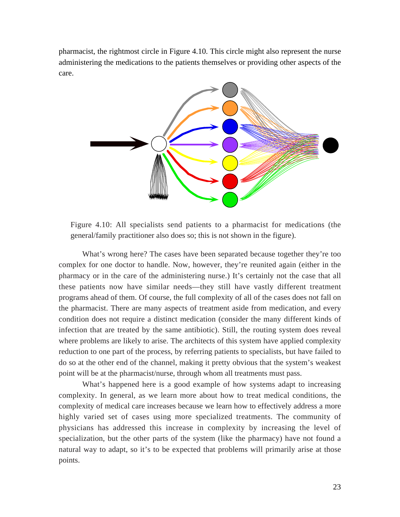pharmacist, the rightmost circle in Figure 4.10. This circle might also represent the nurse administering the medications to the patients themselves or providing other aspects of the care.



Figure 4.10: All specialists send patients to a pharmacist for medications (the general/family practitioner also does so; this is not shown in the figure).

What's wrong here? The cases have been separated because together they're too complex for one doctor to handle. Now, however, they're reunited again (either in the pharmacy or in the care of the administering nurse.) It's certainly not the case that all these patients now have similar needs—they still have vastly different treatment programs ahead of them. Of course, the full complexity of all of the cases does not fall on the pharmacist. There are many aspects of treatment aside from medication, and every condition does not require a distinct medication (consider the many different kinds of infection that are treated by the same antibiotic). Still, the routing system does reveal where problems are likely to arise. The architects of this system have applied complexity reduction to one part of the process, by referring patients to specialists, but have failed to do so at the other end of the channel, making it pretty obvious that the system's weakest point will be at the pharmacist/nurse, through whom all treatments must pass.

What's happened here is a good example of how systems adapt to increasing complexity. In general, as we learn more about how to treat medical conditions, the complexity of medical care increases because we learn how to effectively address a more highly varied set of cases using more specialized treatments. The community of physicians has addressed this increase in complexity by increasing the level of specialization, but the other parts of the system (like the pharmacy) have not found a natural way to adapt, so it's to be expected that problems will primarily arise at those points.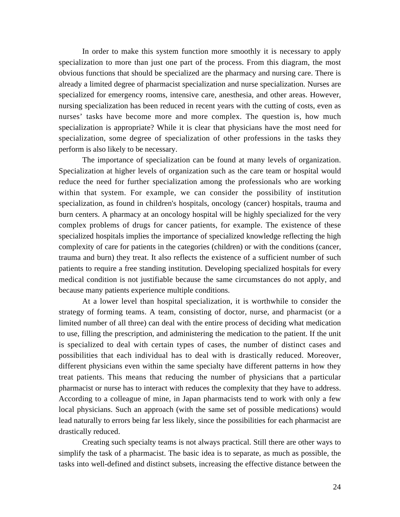In order to make this system function more smoothly it is necessary to apply specialization to more than just one part of the process. From this diagram, the most obvious functions that should be specialized are the pharmacy and nursing care. There is already a limited degree of pharmacist specialization and nurse specialization. Nurses are specialized for emergency rooms, intensive care, anesthesia, and other areas. However, nursing specialization has been reduced in recent years with the cutting of costs, even as nurses' tasks have become more and more complex. The question is, how much specialization is appropriate? While it is clear that physicians have the most need for specialization, some degree of specialization of other professions in the tasks they perform is also likely to be necessary.

The importance of specialization can be found at many levels of organization. Specialization at higher levels of organization such as the care team or hospital would reduce the need for further specialization among the professionals who are working within that system. For example, we can consider the possibility of institution specialization, as found in children's hospitals, oncology (cancer) hospitals, trauma and burn centers. A pharmacy at an oncology hospital will be highly specialized for the very complex problems of drugs for cancer patients, for example. The existence of these specialized hospitals implies the importance of specialized knowledge reflecting the high complexity of care for patients in the categories (children) or with the conditions (cancer, trauma and burn) they treat. It also reflects the existence of a sufficient number of such patients to require a free standing institution. Developing specialized hospitals for every medical condition is not justifiable because the same circumstances do not apply, and because many patients experience multiple conditions.

At a lower level than hospital specialization, it is worthwhile to consider the strategy of forming teams. A team, consisting of doctor, nurse, and pharmacist (or a limited number of all three) can deal with the entire process of deciding what medication to use, filling the prescription, and administering the medication to the patient. If the unit is specialized to deal with certain types of cases, the number of distinct cases and possibilities that each individual has to deal with is drastically reduced. Moreover, different physicians even within the same specialty have different patterns in how they treat patients. This means that reducing the number of physicians that a particular pharmacist or nurse has to interact with reduces the complexity that they have to address. According to a colleague of mine, in Japan pharmacists tend to work with only a few local physicians. Such an approach (with the same set of possible medications) would lead naturally to errors being far less likely, since the possibilities for each pharmacist are drastically reduced.

Creating such specialty teams is not always practical. Still there are other ways to simplify the task of a pharmacist. The basic idea is to separate, as much as possible, the tasks into well-defined and distinct subsets, increasing the effective distance between the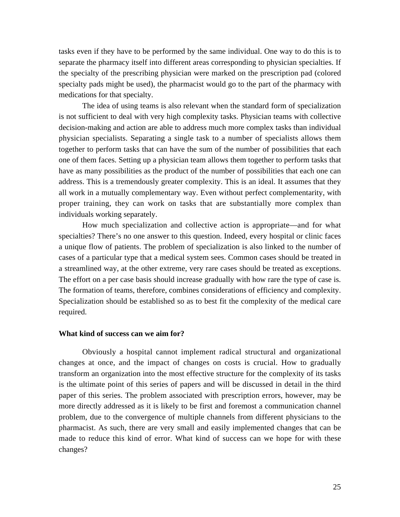tasks even if they have to be performed by the same individual. One way to do this is to separate the pharmacy itself into different areas corresponding to physician specialties. If the specialty of the prescribing physician were marked on the prescription pad (colored specialty pads might be used), the pharmacist would go to the part of the pharmacy with medications for that specialty.

The idea of using teams is also relevant when the standard form of specialization is not sufficient to deal with very high complexity tasks. Physician teams with collective decision-making and action are able to address much more complex tasks than individual physician specialists. Separating a single task to a number of specialists allows them together to perform tasks that can have the sum of the number of possibilities that each one of them faces. Setting up a physician team allows them together to perform tasks that have as many possibilities as the product of the number of possibilities that each one can address. This is a tremendously greater complexity. This is an ideal. It assumes that they all work in a mutually complementary way. Even without perfect complementarity, with proper training, they can work on tasks that are substantially more complex than individuals working separately.

How much specialization and collective action is appropriate—and for what specialties? There's no one answer to this question. Indeed, every hospital or clinic faces a unique flow of patients. The problem of specialization is also linked to the number of cases of a particular type that a medical system sees. Common cases should be treated in a streamlined way, at the other extreme, very rare cases should be treated as exceptions. The effort on a per case basis should increase gradually with how rare the type of case is. The formation of teams, therefore, combines considerations of efficiency and complexity. Specialization should be established so as to best fit the complexity of the medical care required.

#### **What kind of success can we aim for?**

Obviously a hospital cannot implement radical structural and organizational changes at once, and the impact of changes on costs is crucial. How to gradually transform an organization into the most effective structure for the complexity of its tasks is the ultimate point of this series of papers and will be discussed in detail in the third paper of this series. The problem associated with prescription errors, however, may be more directly addressed as it is likely to be first and foremost a communication channel problem, due to the convergence of multiple channels from different physicians to the pharmacist. As such, there are very small and easily implemented changes that can be made to reduce this kind of error. What kind of success can we hope for with these changes?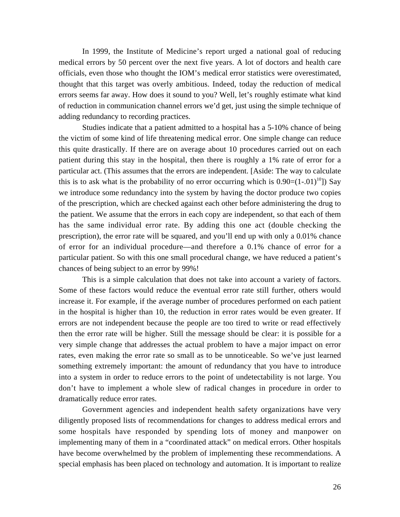In 1999, the Institute of Medicine's report urged a national goal of reducing medical errors by 50 percent over the next five years. A lot of doctors and health care officials, even those who thought the IOM's medical error statistics were overestimated, thought that this target was overly ambitious. Indeed, today the reduction of medical errors seems far away. How does it sound to you? Well, let's roughly estimate what kind of reduction in communication channel errors we'd get, just using the simple technique of adding redundancy to recording practices.

Studies indicate that a patient admitted to a hospital has a 5-10% chance of being the victim of some kind of life threatening medical error. One simple change can reduce this quite drastically. If there are on average about 10 procedures carried out on each patient during this stay in the hospital, then there is roughly a 1% rate of error for a particular act. (This assumes that the errors are independent. [Aside: The way to calculate this is to ask what is the probability of no error occurring which is  $0.90=(1-0.01)^{10}$ ) Say we introduce some redundancy into the system by having the doctor produce two copies of the prescription, which are checked against each other before administering the drug to the patient. We assume that the errors in each copy are independent, so that each of them has the same individual error rate. By adding this one act (double checking the prescription), the error rate will be squared, and you'll end up with only a 0.01% chance of error for an individual procedure—and therefore a 0.1% chance of error for a particular patient. So with this one small procedural change, we have reduced a patient's chances of being subject to an error by 99%!

This is a simple calculation that does not take into account a variety of factors. Some of these factors would reduce the eventual error rate still further, others would increase it. For example, if the average number of procedures performed on each patient in the hospital is higher than 10, the reduction in error rates would be even greater. If errors are not independent because the people are too tired to write or read effectively then the error rate will be higher. Still the message should be clear: it is possible for a very simple change that addresses the actual problem to have a major impact on error rates, even making the error rate so small as to be unnoticeable. So we've just learned something extremely important: the amount of redundancy that you have to introduce into a system in order to reduce errors to the point of undetectability is not large. You don't have to implement a whole slew of radical changes in procedure in order to dramatically reduce error rates.

Government agencies and independent health safety organizations have very diligently proposed lists of recommendations for changes to address medical errors and some hospitals have responded by spending lots of money and manpower on implementing many of them in a "coordinated attack" on medical errors. Other hospitals have become overwhelmed by the problem of implementing these recommendations. A special emphasis has been placed on technology and automation. It is important to realize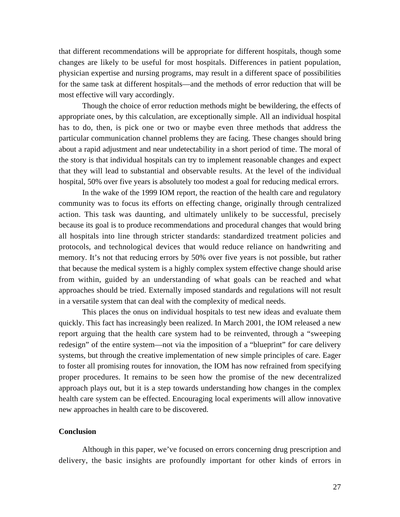that different recommendations will be appropriate for different hospitals, though some changes are likely to be useful for most hospitals. Differences in patient population, physician expertise and nursing programs, may result in a different space of possibilities for the same task at different hospitals—and the methods of error reduction that will be most effective will vary accordingly.

Though the choice of error reduction methods might be bewildering, the effects of appropriate ones, by this calculation, are exceptionally simple. All an individual hospital has to do, then, is pick one or two or maybe even three methods that address the particular communication channel problems they are facing. These changes should bring about a rapid adjustment and near undetectability in a short period of time. The moral of the story is that individual hospitals can try to implement reasonable changes and expect that they will lead to substantial and observable results. At the level of the individual hospital, 50% over five years is absolutely too modest a goal for reducing medical errors.

In the wake of the 1999 IOM report, the reaction of the health care and regulatory community was to focus its efforts on effecting change, originally through centralized action. This task was daunting, and ultimately unlikely to be successful, precisely because its goal is to produce recommendations and procedural changes that would bring all hospitals into line through stricter standards: standardized treatment policies and protocols, and technological devices that would reduce reliance on handwriting and memory. It's not that reducing errors by 50% over five years is not possible, but rather that because the medical system is a highly complex system effective change should arise from within, guided by an understanding of what goals can be reached and what approaches should be tried. Externally imposed standards and regulations will not result in a versatile system that can deal with the complexity of medical needs.

This places the onus on individual hospitals to test new ideas and evaluate them quickly. This fact has increasingly been realized. In March 2001, the IOM released a new report arguing that the health care system had to be reinvented, through a "sweeping redesign" of the entire system—not via the imposition of a "blueprint" for care delivery systems, but through the creative implementation of new simple principles of care. Eager to foster all promising routes for innovation, the IOM has now refrained from specifying proper procedures. It remains to be seen how the promise of the new decentralized approach plays out, but it is a step towards understanding how changes in the complex health care system can be effected. Encouraging local experiments will allow innovative new approaches in health care to be discovered.

#### **Conclusion**

Although in this paper, we've focused on errors concerning drug prescription and delivery, the basic insights are profoundly important for other kinds of errors in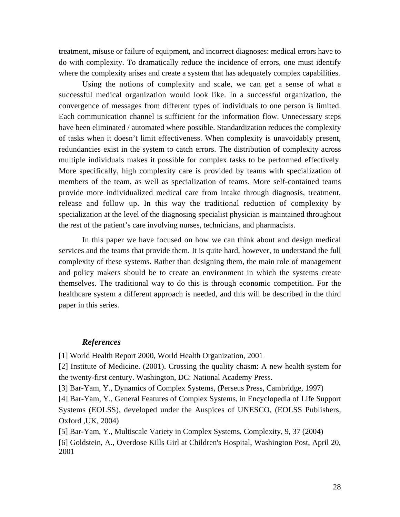treatment, misuse or failure of equipment, and incorrect diagnoses: medical errors have to do with complexity. To dramatically reduce the incidence of errors, one must identify where the complexity arises and create a system that has adequately complex capabilities.

Using the notions of complexity and scale, we can get a sense of what a successful medical organization would look like. In a successful organization, the convergence of messages from different types of individuals to one person is limited. Each communication channel is sufficient for the information flow. Unnecessary steps have been eliminated / automated where possible. Standardization reduces the complexity of tasks when it doesn't limit effectiveness. When complexity is unavoidably present, redundancies exist in the system to catch errors. The distribution of complexity across multiple individuals makes it possible for complex tasks to be performed effectively. More specifically, high complexity care is provided by teams with specialization of members of the team, as well as specialization of teams. More self-contained teams provide more individualized medical care from intake through diagnosis, treatment, release and follow up. In this way the traditional reduction of complexity by specialization at the level of the diagnosing specialist physician is maintained throughout the rest of the patient's care involving nurses, technicians, and pharmacists.

In this paper we have focused on how we can think about and design medical services and the teams that provide them. It is quite hard, however, to understand the full complexity of these systems. Rather than designing them, the main role of management and policy makers should be to create an environment in which the systems create themselves. The traditional way to do this is through economic competition. For the healthcare system a different approach is needed, and this will be described in the third paper in this series.

#### *References*

[1] World Health Report 2000, World Health Organization, 2001

[2] Institute of Medicine. (2001). Crossing the quality chasm: A new health system for the twenty-first century. Washington, DC: National Academy Press.

[3] Bar-Yam, Y., Dynamics of Complex Systems, (Perseus Press, Cambridge, 1997)

[4] Bar-Yam, Y., General Features of Complex Systems, in Encyclopedia of Life Support Systems (EOLSS), developed under the Auspices of UNESCO, (EOLSS Publishers, Oxford ,UK, 2004)

[5] Bar-Yam, Y., Multiscale Variety in Complex Systems, Complexity, 9, 37 (2004) [6] Goldstein, A., Overdose Kills Girl at Children's Hospital, Washington Post, April 20, 2001